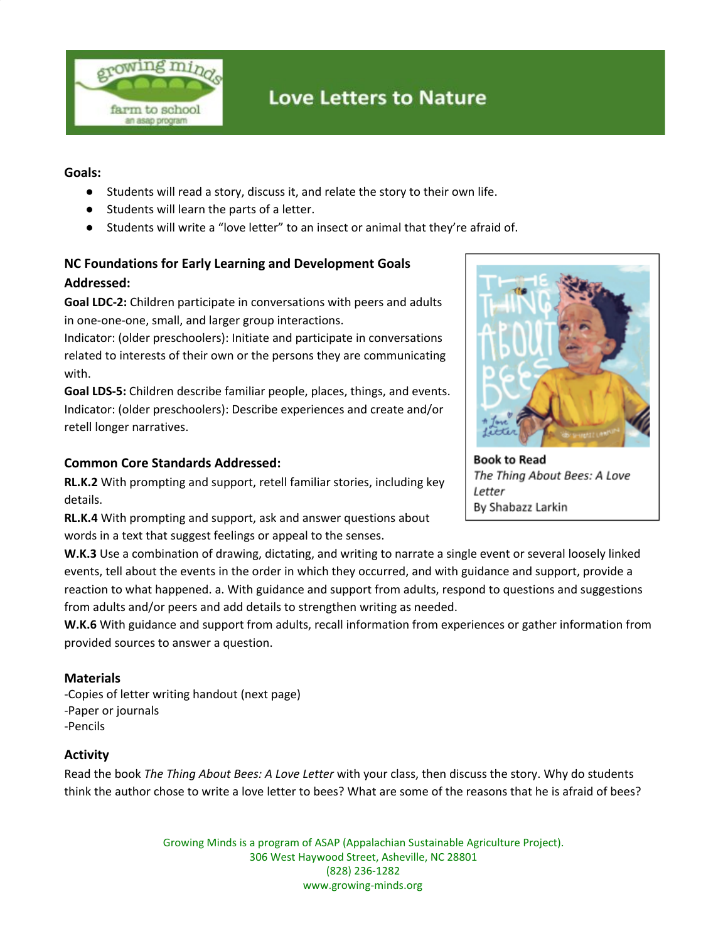

# **Love Letters to Nature**

#### **Goals:**

- Students will read a story, discuss it, and relate the story to their own life.
- Students will learn the parts of a letter.
- Students will write a "love letter" to an insect or animal that they're afraid of.

## **NC Foundations for Early Learning and Development Goals Addressed:**

**Goal LDC-2:** Children participate in conversations with peers and adults in one-one-one, small, and larger group interactions.

Indicator: (older preschoolers): Initiate and participate in conversations related to interests of their own or the persons they are communicating with.

**Goal LDS-5:** Children describe familiar people, places, things, and events. Indicator: (older preschoolers): Describe experiences and create and/or retell longer narratives.

### **Common Core Standards Addressed:**

**RL.K.2** With prompting and support, retell familiar stories, including key details.

**RL.K.4** With prompting and support, ask and answer questions about words in a text that suggest feelings or appeal to the senses.

**W.K.3** Use a combination of drawing, dictating, and writing to narrate a single event or several loosely linked events, tell about the events in the order in which they occurred, and with guidance and support, provide a reaction to what happened. a. With guidance and support from adults, respond to questions and suggestions from adults and/or peers and add details to strengthen writing as needed.

**W.K.6** With guidance and support from adults, recall information from experiences or gather information from provided sources to answer a question.

#### **Materials**

-Copies of letter writing handout (next page) -Paper or journals -Pencils

#### **Activity**

Read the book *The Thing About Bees: A Love Letter* with your class, then discuss the story. Why do students think the author chose to write a love letter to bees? What are some of the reasons that he is afraid of bees?

> Growing Minds is a program of ASAP (Appalachian Sustainable Agriculture Project). 306 West Haywood Street, Asheville, NC 28801 (828) 236-1282 www.growing-minds.org



**Book to Read** The Thing About Bees: A Love Letter By Shabazz Larkin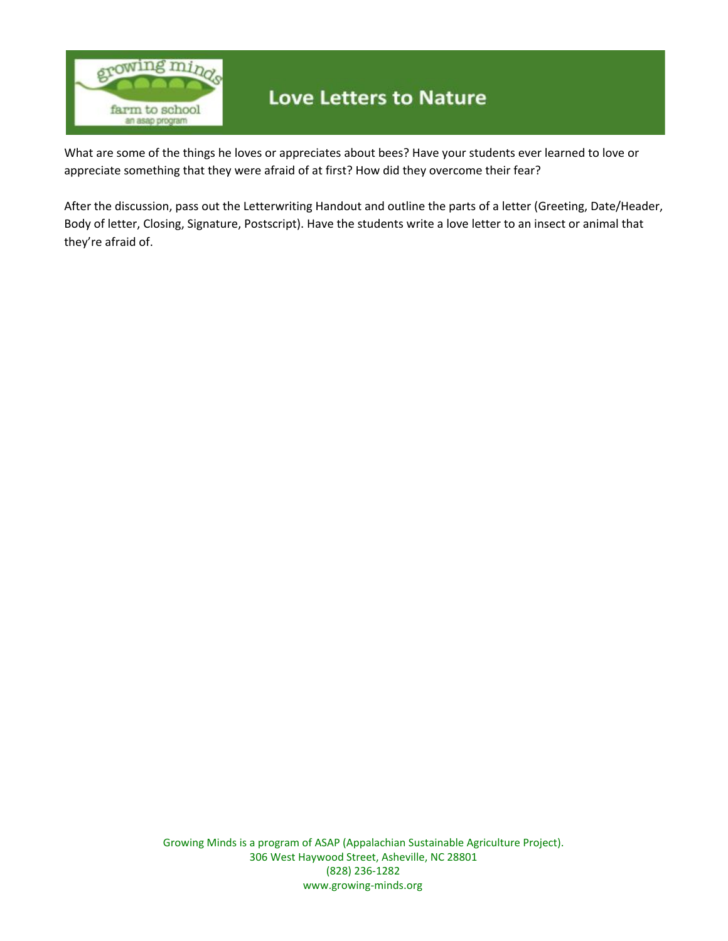

# **Love Letters to Nature**

What are some of the things he loves or appreciates about bees? Have your students ever learned to love or appreciate something that they were afraid of at first? How did they overcome their fear?

After the discussion, pass out the Letterwriting Handout and outline the parts of a letter (Greeting, Date/Header, Body of letter, Closing, Signature, Postscript). Have the students write a love letter to an insect or animal that they're afraid of.

> Growing Minds is a program of ASAP (Appalachian Sustainable Agriculture Project). 306 West Haywood Street, Asheville, NC 28801 (828) 236-1282 www.growing-minds.org